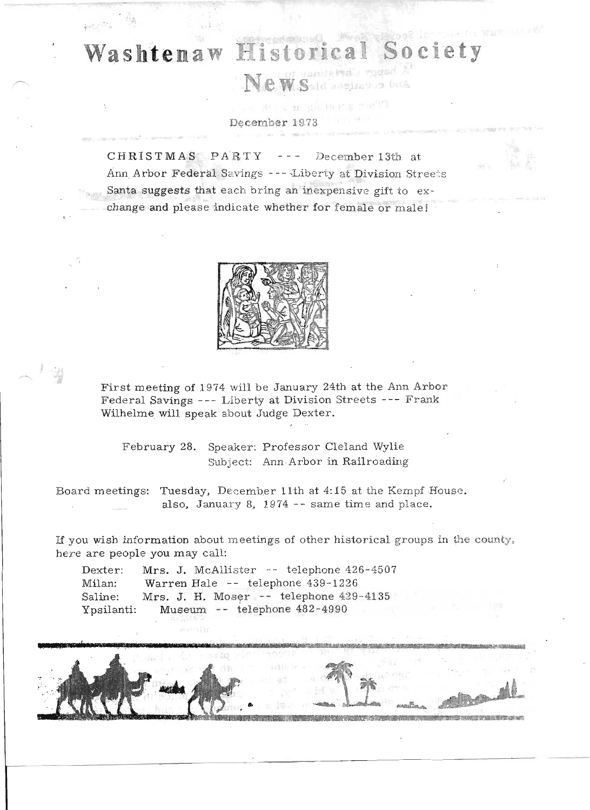# ociety Washtenaw **Historical** So

Ve W.Sald assimma bus

December 1973

CHRISTMAS PARTY --- December 13th at Ann Arbor Federal Savings --- Liberty at Division Streets Santa suggests that each bring an inexpensive gift to exchange and please indicate whether for female or male!



First meeting of 1974 will be January 24th at the Ann Arbor Federal Savings --- Liberty at Division Streets --- Frank Wilhelme will speak about Judge Dexter.

February 28. Speaker: Professor Cleland Wylie Subject: Ann Arbor in Railroading

Board meetings: Tuesday, December 11th at 4:15 at the Kempf House. also, January 8,  $1974$  -- same time and place.

If you wish information about meetings of other historical groups in the county, here are people you may call:

Dexter: Mrs. J. McAllister -- telephone 426-4507 Milan: Warren Hale -- telephone 439-1226 Saline: Mrs. J. H. Moser -- telephone 429-4135 Ypsilanti: Museum -- telephone 482-4990

 $\frac{1}{2}$   $\frac{1}{2}$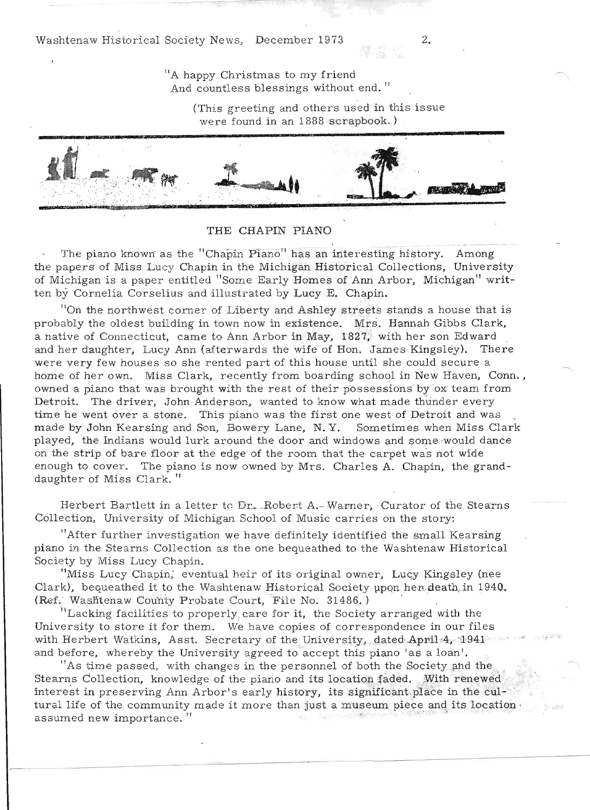Washtenaw Historical Society News, December 1973

"A happy Christmas to my friend And countless blessings without end."

> (This greeting and others used in this issue were found in an 1888 scrapbook.)



#### THE CHAPIN PIANO

The piano known as the "Chapin Piano" has an interesting history. Among the papers of Miss Lucy Chapin in the Michigan Historical Collections, University of Michigan is a paper entitled "Some Early Homes of Ann Arbor, Michigan" written by Cornelia Corselius and illustrated by Lucy E. Chapin.

"On the northwest corner of Liberty and Ashley streets stands a house that is probably the oldest building in town now in existence. Mrs. Hannah Gibbs Clark, a native of Connecticut, came to Ann Arbor in May, 1827, with her son Edward and her daughter, Lucy Ann (afterwards the wife of Hon. James Kingsley). There were very few houses so she rented part of this house until she could secure a home of her own. Miss Clark, recently from boarding school in New Haven, Conn., owned a piano that was brought with the rest of their possessions by ox team from Detroit. The driver, John Anderson, wanted to know what made thunder every time he went over a stone. This piano was the first one west of Detroit and was made by John Kearsing and Son, Bowery Lane, N.Y. Sometimes when Miss Clark played, the Indians would lurk around the door and windows and some would dance on the strip of bare floor at the edge of the room that the carpet was not wide enough to cover. The piano is now owned by Mrs. Charles A. Chapin, the granddaughter of Miss Clark."

Herbert Bartlett in a letter to Dr. Robert A.-Warner, Curator of the Stearns Collection, University of Michigan School of Music carries on the story:

"After further investigation we have definitely identified the small Kearsing piano in the Stearns Collection as the one bequeathed to the Washtenaw Historical Society by Miss Lucy Chapin.

"Miss Lucy Chapin, eventual heir of its original owner, Lucy Kingsley (nee Clark), bequeathed it to the Washtenaw Historical Society upon hen death in 1940. (Ref. Washtenaw County Probate Court, File No. 31486.)

"Lacking facilities to properly care for it, the Society arranged with the University to store it for them. We have copies of correspondence in our files with Herbert Watkins, Asst. Secretary of the University, dated April 4, 1941 and before, whereby the University agreed to accept this piano 'as a loan'.

"As time passed, with changes in the personnel of both the Society and the Stearns Collection, knowledge of the piano and its location faded. With renewed interest in preserving Ann Arbor's early history, its significant place in the cultural life of the community made it more than just a museum piece and its location. assumed new importance."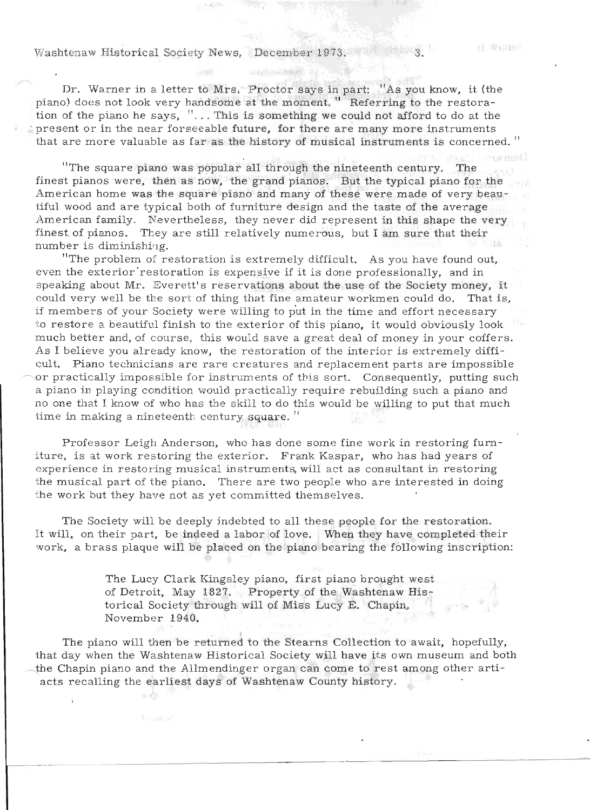Washtenaw Historical Society News, December 1973.

Dr. Warner in a letter to Mrs. Proctor says in part: "As you know, it (the piano) does not look very handsome at the moment. " Referring to the restoration of the piano he says, "... This is something we could not afford to do at the present or in the near forseeable future, for there are many more instruments that are more valuable as far as the history of musical instruments is concerned."

"The square piano was popular all through the nineteenth century. The finest pianos were, then as now, the grand pianos. But the typical piano for the American home was the square piano and many of these were made of very beautiful wood and are typical both of furniture design and the taste of the average American family. Nevertheless, they never did represent in this shape the very finest. of pianos. They are still relatively numerous, but I am sure that their number is diminishing.

"The problem of restoration is extremely difficult. As you have found out, even the exterior restoration is expensive if it is done professionally, and in speaking about Mr. Everett's reservations about the use of the Society money, it could very well be the sort of thing that fine amateur workmen could do. That is, if members of your Society were willing to put in the time and effort necessary to restore a beautiful finish to the exterior of this piano, it would obviously look much better and, of course, this would save a great deal of money in your coffers. As I believe you already know, the restoration of the interior is extremely difficult. Piano technicians are rare creatures and replacement parts are impossible or practically impossible for instruments of this sort. Consequently, putting such a piano in playing condition would practically require rebuilding such a piano and no one that I know of who has the skill to do this would be willing to put that much time in making a nineteenth century square.<sup>11</sup>

Professor Leigh Anderson, who has done some fine work in restoring furn iture, is at work restoring the exterior. Frank Kaspar, who has had years of experience in restoring musical instruments, will act as consultant in restoring the musical part of the piano. There are two people who are interested in doing the work but they have not as yet committed themselves.

The Society will be deeply jndebted to all these people for the restoration. It will, on their part, be indeed a labor of love. When they have completed their work, a brass plaque will be placed on the piano bearing the following inscription:

> The Lucy Clark Kingsley piano, first piano brought west of Detroit, May 1827. Property of the Washtenaw Historical Society through will of Miss Lucy E. Chapin, November 1940.

The piano will then be returned to the Stearns Collection to await, hopefully, that day when the Washtenaw Historical Society will have its own museum and both the Chapin piano and the Allmendinger organ can come to rest among other artiacts recalling the earliest days of Washtenaw County history.

 $\mathbf{R}$